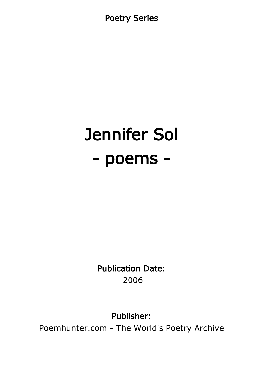Poetry Series

# Jennifer Sol - poems -

Publication Date: 2006

Publisher:

Poemhunter.com - The World's Poetry Archive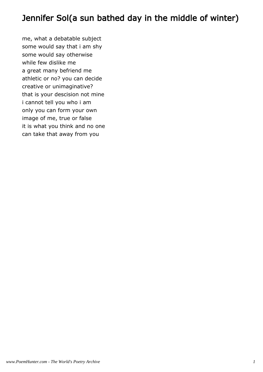# Jennifer Sol(a sun bathed day in the middle of winter)

me, what a debatable subject some would say that i am shy some would say otherwise while few dislike me a great many befriend me athletic or no? you can decide creative or unimaginative? that is your descision not mine i cannot tell you who i am only you can form your own image of me, true or false it is what you think and no one can take that away from you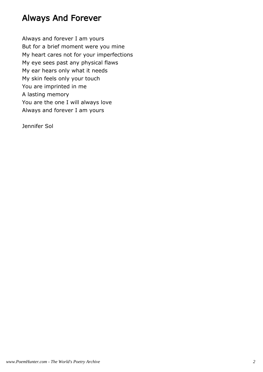# Always And Forever

Always and forever I am yours But for a brief moment were you mine My heart cares not for your imperfections My eye sees past any physical flaws My ear hears only what it needs My skin feels only your touch You are imprinted in me A lasting memory You are the one I will always love Always and forever I am yours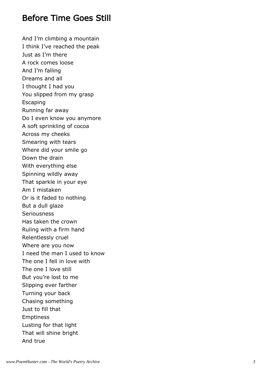#### Before Time Goes Still

And I'm climbing a mountain I think I've reached the peak Just as I'm there A rock comes loose And I'm falling Dreams and all I thought I had you You slipped from my grasp **Escaping** Running far away Do I even know you anymore A soft sprinkling of cocoa Across my cheeks Smearing with tears Where did your smile go Down the drain With everything else Spinning wildly away That sparkle in your eye Am I mistaken Or is it faded to nothing But a dull glaze **Seriousness** Has taken the crown Ruling with a firm hand Relentlessly cruel Where are you now I need the man I used to know The one I fell in love with The one I love still But you're lost to me Slipping ever farther Turning your back Chasing something Just to fill that Emptiness Lusting for that light That will shine bright And true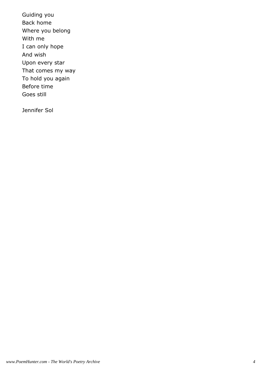Guiding you Back home Where you belong With me I can only hope And wish Upon every star That comes my way To hold you again Before time Goes still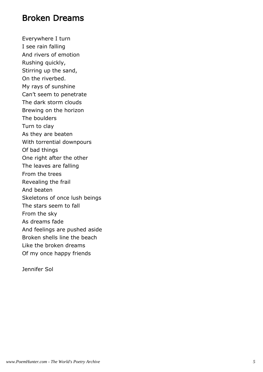#### Broken Dreams

Everywhere I turn I see rain falling And rivers of emotion Rushing quickly, Stirring up the sand, On the riverbed. My rays of sunshine Can't seem to penetrate The dark storm clouds Brewing on the horizon The boulders Turn to clay As they are beaten With torrential downpours Of bad things One right after the other The leaves are falling From the trees Revealing the frail And beaten Skeletons of once lush beings The stars seem to fall From the sky As dreams fade And feelings are pushed aside Broken shells line the beach Like the broken dreams Of my once happy friends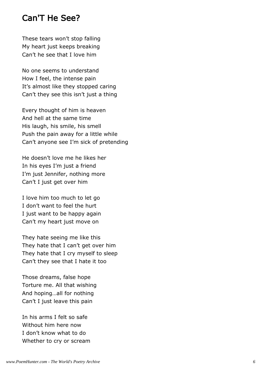#### Can'T He See?

These tears won't stop falling My heart just keeps breaking Can't he see that I love him

No one seems to understand How I feel, the intense pain It's almost like they stopped caring Can't they see this isn't just a thing

Every thought of him is heaven And hell at the same time His laugh, his smile, his smell Push the pain away for a little while Can't anyone see I'm sick of pretending

He doesn't love me he likes her In his eyes I'm just a friend I'm just Jennifer, nothing more Can't I just get over him

I love him too much to let go I don't want to feel the hurt I just want to be happy again Can't my heart just move on

They hate seeing me like this They hate that I can't get over him They hate that I cry myself to sleep Can't they see that I hate it too

Those dreams, false hope Torture me. All that wishing And hoping…all for nothing Can't I just leave this pain

In his arms I felt so safe Without him here now I don't know what to do Whether to cry or scream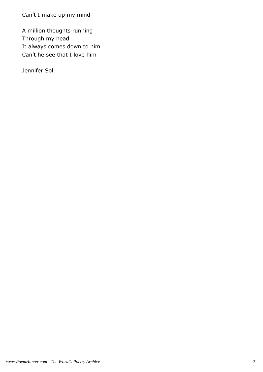Can't I make up my mind

A million thoughts running Through my head It always comes down to him Can't he see that I love him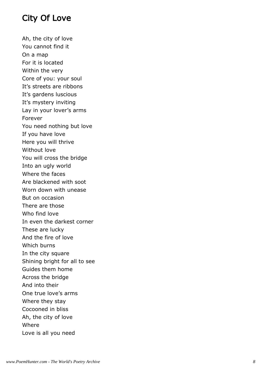# City Of Love

Ah, the city of love You cannot find it On a map For it is located Within the very Core of you: your soul It's streets are ribbons It's gardens luscious It's mystery inviting Lay in your lover's arms Forever You need nothing but love If you have love Here you will thrive Without love You will cross the bridge Into an ugly world Where the faces Are blackened with soot Worn down with unease But on occasion There are those Who find love In even the darkest corner These are lucky And the fire of love Which burns In the city square Shining bright for all to see Guides them home Across the bridge And into their One true love's arms Where they stay Cocooned in bliss Ah, the city of love Where Love is all you need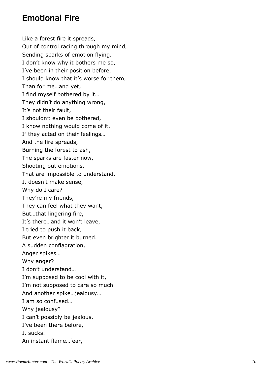# Emotional Fire

Like a forest fire it spreads, Out of control racing through my mind, Sending sparks of emotion flying. I don't know why it bothers me so, I've been in their position before, I should know that it's worse for them, Than for me…and yet, I find myself bothered by it… They didn't do anything wrong, It's not their fault, I shouldn't even be bothered, I know nothing would come of it, If they acted on their feelings… And the fire spreads, Burning the forest to ash, The sparks are faster now, Shooting out emotions, That are impossible to understand. It doesn't make sense, Why do I care? They're my friends, They can feel what they want, But…that lingering fire, It's there…and it won't leave, I tried to push it back, But even brighter it burned. A sudden conflagration, Anger spikes… Why anger? I don't understand… I'm supposed to be cool with it, I'm not supposed to care so much. And another spike…jealousy… I am so confused… Why jealousy? I can't possibly be jealous, I've been there before, It sucks. An instant flame…fear,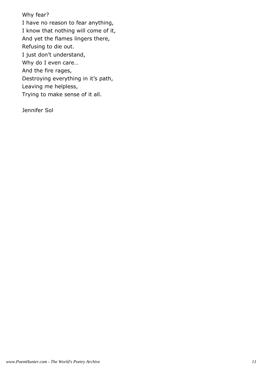Why fear? I have no reason to fear anything, I know that nothing will come of it, And yet the flames lingers there, Refusing to die out. I just don't understand, Why do I even care… And the fire rages, Destroying everything in it's path, Leaving me helpless, Trying to make sense of it all.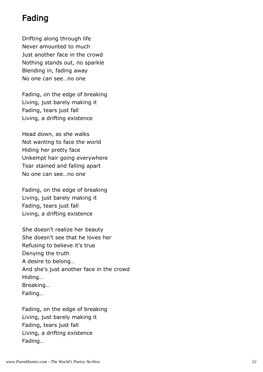# Fading

Drifting along through life Never amounted to much Just another face in the crowd Nothing stands out, no sparkle Blending in, fading away No one can see…no one

Fading, on the edge of breaking Living, just barely making it Fading, tears just fall Living, a drifting existence

Head down, as she walks Not wanting to face the world Hiding her pretty face Unkempt hair going everywhere Tear stained and falling apart No one can see…no one

Fading, on the edge of breaking Living, just barely making it Fading, tears just fall Living, a drifting existence

She doesn't realize her beauty She doesn't see that he loves her Refusing to believe it's true Denying the truth A desire to belong… And she's just another face in the crowd Hiding… Breaking… Falling…

Fading, on the edge of breaking Living, just barely making it Fading, tears just fall Living, a drifting existence Fading…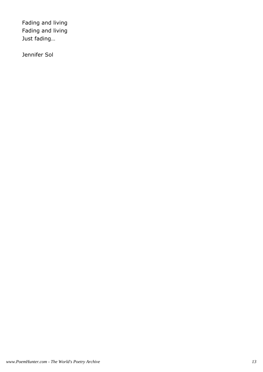Fading and living Fading and living Just fading…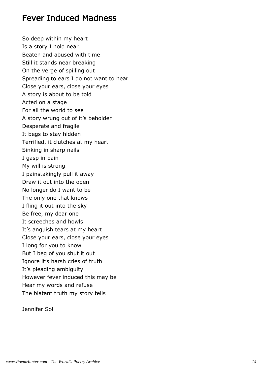# Fever Induced Madness

So deep within my heart Is a story I hold near Beaten and abused with time Still it stands near breaking On the verge of spilling out Spreading to ears I do not want to hear Close your ears, close your eyes A story is about to be told Acted on a stage For all the world to see A story wrung out of it's beholder Desperate and fragile It begs to stay hidden Terrified, it clutches at my heart Sinking in sharp nails I gasp in pain My will is strong I painstakingly pull it away Draw it out into the open No longer do I want to be The only one that knows I fling it out into the sky Be free, my dear one It screeches and howls It's anguish tears at my heart Close your ears, close your eyes I long for you to know But I beg of you shut it out Ignore it's harsh cries of truth It's pleading ambiguity However fever induced this may be Hear my words and refuse The blatant truth my story tells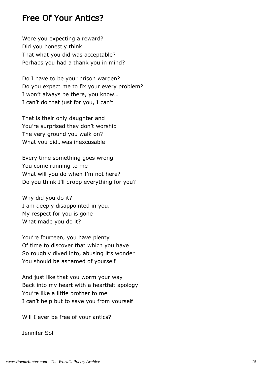# Free Of Your Antics?

Were you expecting a reward? Did you honestly think… That what you did was acceptable? Perhaps you had a thank you in mind?

Do I have to be your prison warden? Do you expect me to fix your every problem? I won't always be there, you know… I can't do that just for you, I can't

That is their only daughter and You're surprised they don't worship The very ground you walk on? What you did…was inexcusable

Every time something goes wrong You come running to me What will you do when I'm not here? Do you think I'll dropp everything for you?

Why did you do it? I am deeply disappointed in you. My respect for you is gone What made you do it?

You're fourteen, you have plenty Of time to discover that which you have So roughly dived into, abusing it's wonder You should be ashamed of yourself

And just like that you worm your way Back into my heart with a heartfelt apology You're like a little brother to me I can't help but to save you from yourself

Will I ever be free of your antics?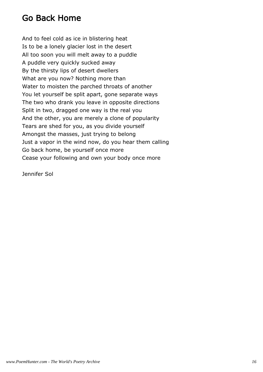# Go Back Home

And to feel cold as ice in blistering heat Is to be a lonely glacier lost in the desert All too soon you will melt away to a puddle A puddle very quickly sucked away By the thirsty lips of desert dwellers What are you now? Nothing more than Water to moisten the parched throats of another You let yourself be split apart, gone separate ways The two who drank you leave in opposite directions Split in two, dragged one way is the real you And the other, you are merely a clone of popularity Tears are shed for you, as you divide yourself Amongst the masses, just trying to belong Just a vapor in the wind now, do you hear them calling Go back home, be yourself once more Cease your following and own your body once more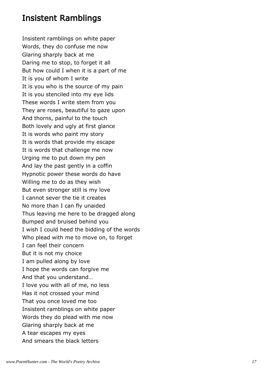# Insistent Ramblings

Insistent ramblings on white paper Words, they do confuse me now Glaring sharply back at me Daring me to stop, to forget it all But how could I when it is a part of me It is you of whom I write It is you who is the source of my pain It is you stenciled into my eye lids These words I write stem from you They are roses, beautiful to gaze upon And thorns, painful to the touch Both lovely and ugly at first glance It is words who paint my story It is words that provide my escape It is words that challenge me now Urging me to put down my pen And lay the past gently in a coffin Hypnotic power these words do have Willing me to do as they wish But even stronger still is my love I cannot sever the tie it creates No more than I can fly unaided Thus leaving me here to be dragged along Bumped and bruised behind you I wish I could heed the bidding of the words Who plead with me to move on, to forget I can feel their concern But it is not my choice I am pulled along by love I hope the words can forgive me And that you understand… I love you with all of me, no less Has it not crossed your mind That you once loved me too Insistent ramblings on white paper Words they do plead with me now Glaring sharply back at me A tear escapes my eyes And smears the black letters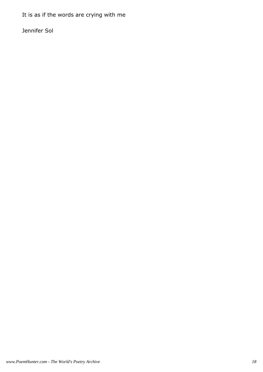It is as if the words are crying with me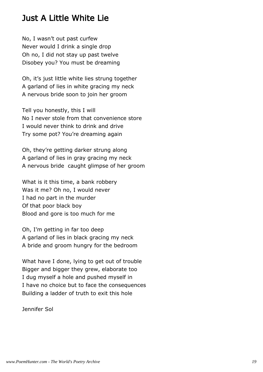# Just A Little White Lie

No, I wasn't out past curfew Never would I drink a single drop Oh no, I did not stay up past twelve Disobey you? You must be dreaming

Oh, it's just little white lies strung together A garland of lies in white gracing my neck A nervous bride soon to join her groom

Tell you honestly, this I will No I never stole from that convenience store I would never think to drink and drive Try some pot? You're dreaming again

Oh, they're getting darker strung along A garland of lies in gray gracing my neck A nervous bride caught glimpse of her groom

What is it this time, a bank robbery Was it me? Oh no, I would never I had no part in the murder Of that poor black boy Blood and gore is too much for me

Oh, I'm getting in far too deep A garland of lies in black gracing my neck A bride and groom hungry for the bedroom

What have I done, lying to get out of trouble Bigger and bigger they grew, elaborate too I dug myself a hole and pushed myself in I have no choice but to face the consequences Building a ladder of truth to exit this hole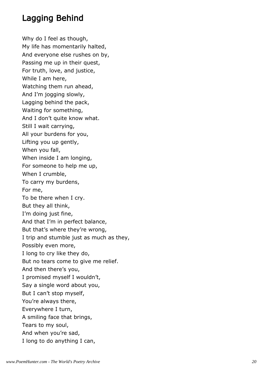# Lagging Behind

Why do I feel as though, My life has momentarily halted, And everyone else rushes on by, Passing me up in their quest, For truth, love, and justice, While I am here, Watching them run ahead, And I'm jogging slowly, Lagging behind the pack, Waiting for something, And I don't quite know what. Still I wait carrying, All your burdens for you, Lifting you up gently, When you fall, When inside I am longing, For someone to help me up, When I crumble, To carry my burdens, For me, To be there when I cry. But they all think, I'm doing just fine, And that I'm in perfect balance, But that's where they're wrong, I trip and stumble just as much as they, Possibly even more, I long to cry like they do, But no tears come to give me relief. And then there's you, I promised myself I wouldn't, Say a single word about you, But I can't stop myself, You're always there, Everywhere I turn, A smiling face that brings, Tears to my soul, And when you're sad, I long to do anything I can,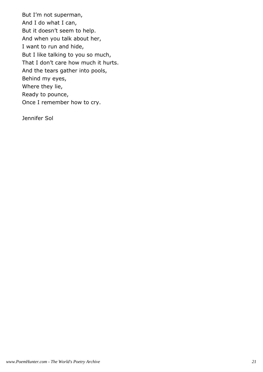But I'm not superman, And I do what I can, But it doesn't seem to help. And when you talk about her, I want to run and hide, But I like talking to you so much, That I don't care how much it hurts. And the tears gather into pools, Behind my eyes, Where they lie, Ready to pounce, Once I remember how to cry.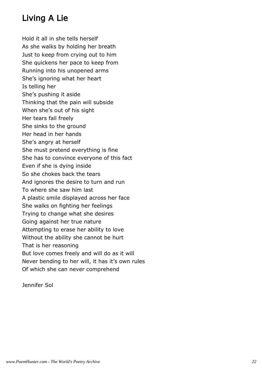# Living A Lie

Hold it all in she tells herself As she walks by holding her breath Just to keep from crying out to him She quickens her pace to keep from Running into his unopened arms She's ignoring what her heart Is telling her She's pushing it aside Thinking that the pain will subside When she's out of his sight Her tears fall freely She sinks to the ground Her head in her hands She's angry at herself She must pretend everything is fine She has to convince everyone of this fact Even if she is dying inside So she chokes back the tears And ignores the desire to turn and run To where she saw him last A plastic smile displayed across her face She walks on fighting her feelings Trying to change what she desires Going against her true nature Attempting to erase her ability to love Without the ability she cannot be hurt That is her reasoning But love comes freely and will do as it will Never bending to her will, it has it's own rules Of which she can never comprehend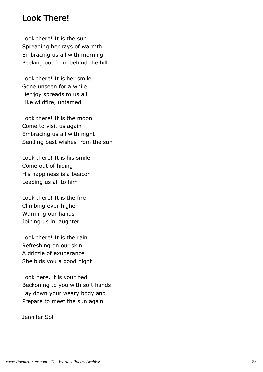#### Look There!

Look there! It is the sun Spreading her rays of warmth Embracing us all with morning Peeking out from behind the hill

Look there! It is her smile Gone unseen for a while Her joy spreads to us all Like wildfire, untamed

Look there! It is the moon Come to visit us again Embracing us all with night Sending best wishes from the sun

Look there! It is his smile Come out of hiding His happiness is a beacon Leading us all to him

Look there! It is the fire Climbing ever higher Warming our hands Joining us in laughter

Look there! It is the rain Refreshing on our skin A drizzle of exuberance She bids you a good night

Look here, it is your bed Beckoning to you with soft hands Lay down your weary body and Prepare to meet the sun again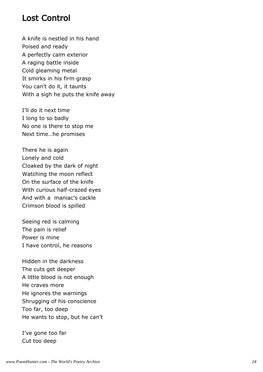#### Lost Control

A knife is nestled in his hand Poised and ready A perfectly calm exterior A raging battle inside Cold gleaming metal It smirks in his firm grasp You can't do it, it taunts With a sigh he puts the knife away

I'll do it next time I long to so badly No one is there to stop me Next time…he promises

There he is again Lonely and cold Cloaked by the dark of night Watching the moon reflect On the surface of the knife With curious half-crazed eyes And with a maniac's cackle Crimson blood is spilled

Seeing red is calming The pain is relief Power is mine I have control, he reasons

Hidden in the darkness The cuts get deeper A little blood is not enough He craves more He ignores the warnings Shrugging of his conscience Too far, too deep He wants to stop, but he can't

I've gone too far Cut too deep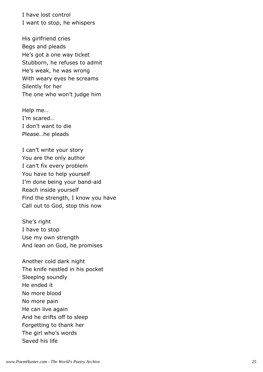I have lost control I want to stop, he whispers

His girlfriend cries Begs and pleads He's got a one way ticket Stubborn, he refuses to admit He's weak, he was wrong With weary eyes he screams Silently for her The one who won't judge him

Help me… I'm scared… I don't want to die Please…he pleads

I can't write your story You are the only author I can't fix every problem You have to help yourself I'm done being your band-aid Reach inside yourself Find the strength, I know you have Call out to God, stop this now

She's right I have to stop Use my own strength And lean on God, he promises

Another cold dark night The knife nestled in his pocket Sleeping soundly He ended it No more blood No more pain He can live again And he drifts off to sleep Forgetting to thank her The girl who's words Saved his life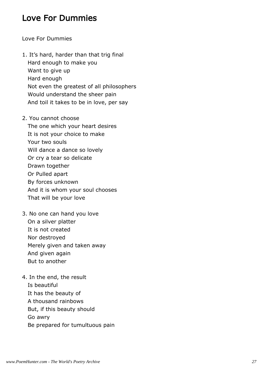# Love For Dummies

Love For Dummies

- 1. It's hard, harder than that trig final Hard enough to make you Want to give up Hard enough Not even the greatest of all philosophers Would understand the sheer pain And toil it takes to be in love, per say
- 2. You cannot choose The one which your heart desires It is not your choice to make Your two souls Will dance a dance so lovely Or cry a tear so delicate Drawn together Or Pulled apart By forces unknown And it is whom your soul chooses That will be your love
- 3. No one can hand you love On a silver platter It is not created Nor destroyed Merely given and taken away And given again But to another
- 4. In the end, the result Is beautiful It has the beauty of A thousand rainbows But, if this beauty should Go awry Be prepared for tumultuous pain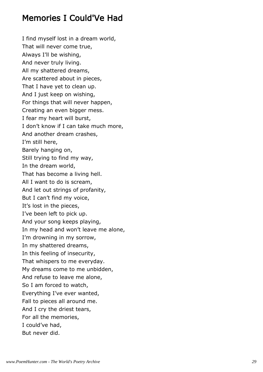# Memories I Could'Ve Had

I find myself lost in a dream world, That will never come true, Always I'll be wishing, And never truly living. All my shattered dreams, Are scattered about in pieces, That I have yet to clean up. And I just keep on wishing, For things that will never happen, Creating an even bigger mess. I fear my heart will burst, I don't know if I can take much more, And another dream crashes, I'm still here, Barely hanging on, Still trying to find my way, In the dream world, That has become a living hell. All I want to do is scream, And let out strings of profanity, But I can't find my voice, It's lost in the pieces, I've been left to pick up. And your song keeps playing, In my head and won't leave me alone, I'm drowning in my sorrow, In my shattered dreams, In this feeling of insecurity, That whispers to me everyday. My dreams come to me unbidden, And refuse to leave me alone, So I am forced to watch, Everything I've ever wanted, Fall to pieces all around me. And I cry the driest tears, For all the memories, I could've had, But never did.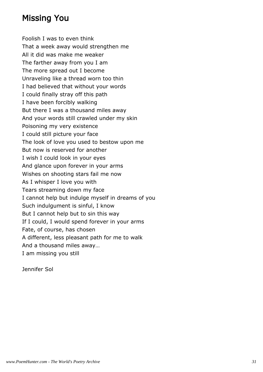# Missing You

Foolish I was to even think That a week away would strengthen me All it did was make me weaker The farther away from you I am The more spread out I become Unraveling like a thread worn too thin I had believed that without your words I could finally stray off this path I have been forcibly walking But there I was a thousand miles away And your words still crawled under my skin Poisoning my very existence I could still picture your face The look of love you used to bestow upon me But now is reserved for another I wish I could look in your eyes And glance upon forever in your arms Wishes on shooting stars fail me now As I whisper I love you with Tears streaming down my face I cannot help but indulge myself in dreams of you Such indulgument is sinful, I know But I cannot help but to sin this way If I could, I would spend forever in your arms Fate, of course, has chosen A different, less pleasant path for me to walk And a thousand miles away… I am missing you still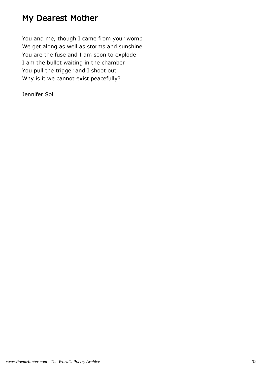# My Dearest Mother

You and me, though I came from your womb We get along as well as storms and sunshine You are the fuse and I am soon to explode I am the bullet waiting in the chamber You pull the trigger and I shoot out Why is it we cannot exist peacefully?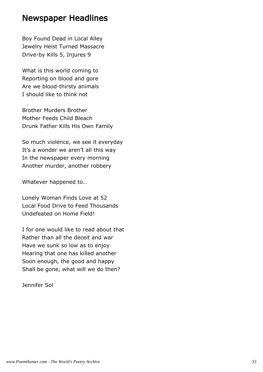#### Newspaper Headlines

Boy Found Dead in Local Alley Jewelry Heist Turned Massacre Drive-by Kills 5, Injures 9

What is this world coming to Reporting on blood and gore Are we blood-thirsty animals I should like to think not

Brother Murders Brother Mother Feeds Child Bleach Drunk Father Kills His Own Family

So much violence, we see it everyday It's a wonder we aren't all this way In the newspaper every morning Another murder, another robbery

Whatever happened to…

Lonely Woman Finds Love at 52 Local Food Drive to Feed Thousands Undefeated on Home Field!

I for one would like to read about that Rather than all the deceit and war Have we sunk so low as to enjoy Hearing that one has killed another Soon enough, the good and happy Shall be gone, what will we do then?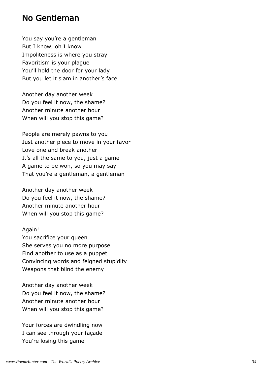#### No Gentleman

You say you're a gentleman But I know, oh I know Impoliteness is where you stray Favoritism is your plague You'll hold the door for your lady But you let it slam in another's face

Another day another week Do you feel it now, the shame? Another minute another hour When will you stop this game?

People are merely pawns to you Just another piece to move in your favor Love one and break another It's all the same to you, just a game A game to be won, so you may say That you're a gentleman, a gentleman

Another day another week Do you feel it now, the shame? Another minute another hour When will you stop this game?

#### Again!

You sacrifice your queen She serves you no more purpose Find another to use as a puppet Convincing words and feigned stupidity Weapons that blind the enemy

Another day another week Do you feel it now, the shame? Another minute another hour When will you stop this game?

Your forces are dwindling now I can see through your façade You're losing this game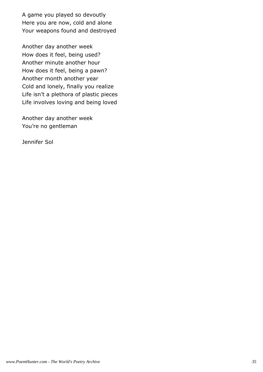A game you played so devoutly Here you are now, cold and alone Your weapons found and destroyed

Another day another week How does it feel, being used? Another minute another hour How does it feel, being a pawn? Another month another year Cold and lonely, finally you realize Life isn't a plethora of plastic pieces Life involves loving and being loved

Another day another week You're no gentleman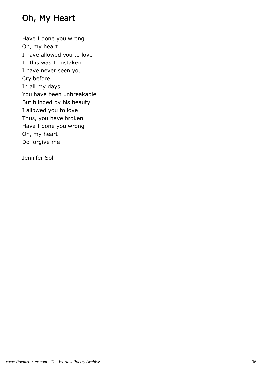# Oh, My Heart

Have I done you wrong Oh, my heart I have allowed you to love In this was I mistaken I have never seen you Cry before In all my days You have been unbreakable But blinded by his beauty I allowed you to love Thus, you have broken Have I done you wrong Oh, my heart Do forgive me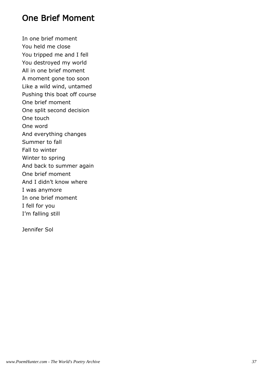# One Brief Moment

In one brief moment You held me close You tripped me and I fell You destroyed my world All in one brief moment A moment gone too soon Like a wild wind, untamed Pushing this boat off course One brief moment One split second decision One touch One word And everything changes Summer to fall Fall to winter Winter to spring And back to summer again One brief moment And I didn't know where I was anymore In one brief moment I fell for you I'm falling still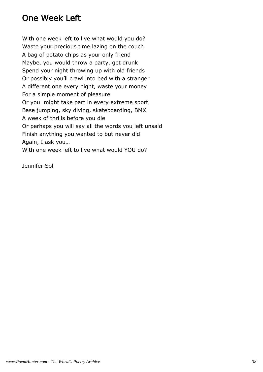# One Week Left

With one week left to live what would you do? Waste your precious time lazing on the couch A bag of potato chips as your only friend Maybe, you would throw a party, get drunk Spend your night throwing up with old friends Or possibly you'll crawl into bed with a stranger A different one every night, waste your money For a simple moment of pleasure Or you might take part in every extreme sport Base jumping, sky diving, skateboarding, BMX A week of thrills before you die Or perhaps you will say all the words you left unsaid Finish anything you wanted to but never did Again, I ask you… With one week left to live what would YOU do?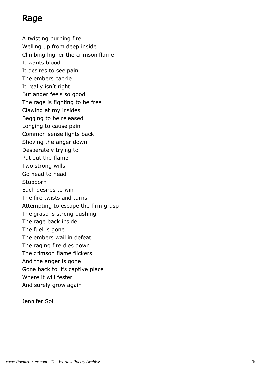# Rage

A twisting burning fire Welling up from deep inside Climbing higher the crimson flame It wants blood It desires to see pain The embers cackle It really isn't right But anger feels so good The rage is fighting to be free Clawing at my insides Begging to be released Longing to cause pain Common sense fights back Shoving the anger down Desperately trying to Put out the flame Two strong wills Go head to head Stubborn Each desires to win The fire twists and turns Attempting to escape the firm grasp The grasp is strong pushing The rage back inside The fuel is gone… The embers wail in defeat The raging fire dies down The crimson flame flickers And the anger is gone Gone back to it's captive place Where it will fester And surely grow again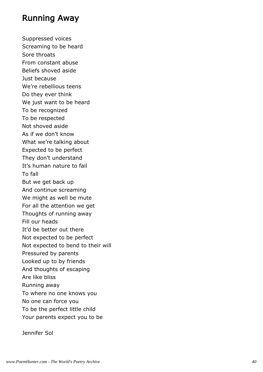#### Running Away

Suppressed voices Screaming to be heard Sore throats From constant abuse Beliefs shoved aside Just because We're rebellious teens Do they ever think We just want to be heard To be recognized To be respected Not shoved aside As if we don't know What we're talking about Expected to be perfect They don't understand It's human nature to fail To fall But we get back up And continue screaming We might as well be mute For all the attention we get Thoughts of running away Fill our heads It'd be better out there Not expected to be perfect Not expected to bend to their will Pressured by parents Looked up to by friends And thoughts of escaping Are like bliss Running away To where no one knows you No one can force you To be the perfect little child Your parents expect you to be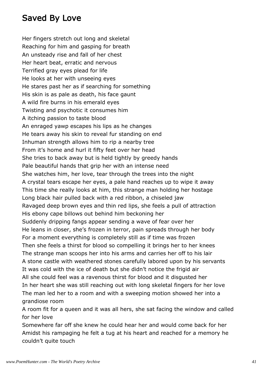# Saved By Love

Her fingers stretch out long and skeletal Reaching for him and gasping for breath An unsteady rise and fall of her chest Her heart beat, erratic and nervous Terrified gray eyes plead for life He looks at her with unseeing eyes He stares past her as if searching for something His skin is as pale as death, his face gaunt A wild fire burns in his emerald eyes Twisting and psychotic it consumes him A itching passion to taste blood An enraged yawp escapes his lips as he changes He tears away his skin to reveal fur standing on end Inhuman strength allows him to rip a nearby tree From it's home and hurl it fifty feet over her head She tries to back away but is held tightly by greedy hands Pale beautiful hands that grip her with an intense need She watches him, her love, tear through the trees into the night A crystal tears escape her eyes, a pale hand reaches up to wipe it away This time she really looks at him, this strange man holding her hostage Long black hair pulled back with a red ribbon, a chiseled jaw Ravaged deep brown eyes and thin red lips, she feels a pull of attraction His ebony cape billows out behind him beckoning her Suddenly dripping fangs appear sending a wave of fear over her He leans in closer, she's frozen in terror, pain spreads through her body For a moment everything is completely still as if time was frozen Then she feels a thirst for blood so compelling it brings her to her knees The strange man scoops her into his arms and carries her off to his lair A stone castle with weathered stones carefully labored upon by his servants It was cold with the ice of death but she didn't notice the frigid air All she could feel was a ravenous thirst for blood and it disgusted her In her heart she was still reaching out with long skeletal fingers for her love The man led her to a room and with a sweeping motion showed her into a grandiose room

A room fit for a queen and it was all hers, she sat facing the window and called for her love

Somewhere far off she knew he could hear her and would come back for her Amidst his rampaging he felt a tug at his heart and reached for a memory he couldn't quite touch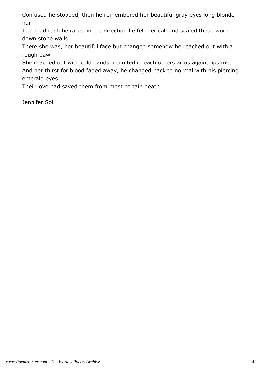Confused he stopped, then he remembered her beautiful gray eyes long blonde hair

In a mad rush he raced in the direction he felt her call and scaled those worn down stone walls

There she was, her beautiful face but changed somehow he reached out with a rough paw

She reached out with cold hands, reunited in each others arms again, lips met And her thirst for blood faded away, he changed back to normal with his piercing emerald eyes

Their love had saved them from most certain death.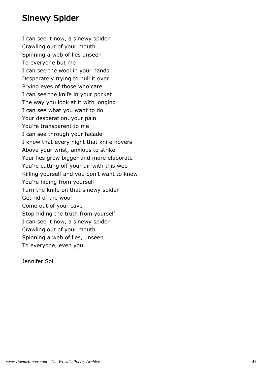# Sinewy Spider

I can see it now, a sinewy spider Crawling out of your mouth Spinning a web of lies unseen To everyone but me I can see the wool in your hands Desperately trying to pull it over Prying eyes of those who care I can see the knife in your pocket The way you look at it with longing I can see what you want to do Your desperation, your pain You're transparent to me I can see through your facade I know that every night that knife hovers Above your wrist, anxious to strike Your lies grow bigger and more elaborate You're cutting off your air with this web Killing yourself and you don't want to know You're hiding from yourself Turn the knife on that sinewy spider Get rid of the wool Come out of your cave Stop hiding the truth from yourself I can see it now, a sinewy spider Crawling out of your mouth Spinning a web of lies, unseen To everyone, even you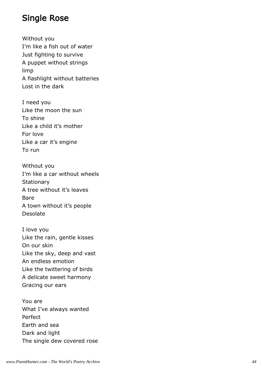# Single Rose

Without you I'm like a fish out of water Just fighting to survive A puppet without strings limp A flashlight without batteries Lost in the dark

I need you Like the moon the sun To shine Like a child it's mother For love Like a car it's engine To run

Without you I'm like a car without wheels **Stationary** A tree without it's leaves Bare A town without it's people Desolate

I love you Like the rain, gentle kisses On our skin Like the sky, deep and vast An endless emotion Like the twittering of birds A delicate sweet harmony Gracing our ears

You are What I've always wanted Perfect Earth and sea Dark and light The single dew covered rose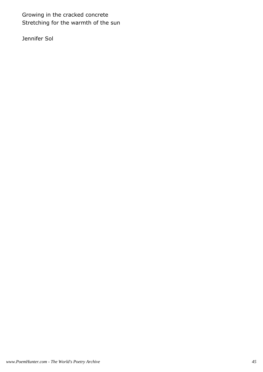Growing in the cracked concrete Stretching for the warmth of the sun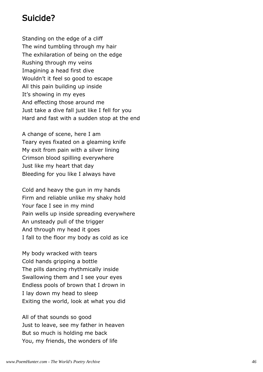# Suicide?

Standing on the edge of a cliff The wind tumbling through my hair The exhilaration of being on the edge Rushing through my veins Imagining a head first dive Wouldn't it feel so good to escape All this pain building up inside It's showing in my eyes And effecting those around me Just take a dive fall just like I fell for you Hard and fast with a sudden stop at the end

A change of scene, here I am Teary eyes fixated on a gleaming knife My exit from pain with a silver lining Crimson blood spilling everywhere Just like my heart that day Bleeding for you like I always have

Cold and heavy the gun in my hands Firm and reliable unlike my shaky hold Your face I see in my mind Pain wells up inside spreading everywhere An unsteady pull of the trigger And through my head it goes I fall to the floor my body as cold as ice

My body wracked with tears Cold hands gripping a bottle The pills dancing rhythmically inside Swallowing them and I see your eyes Endless pools of brown that I drown in I lay down my head to sleep Exiting the world, look at what you did

All of that sounds so good Just to leave, see my father in heaven But so much is holding me back You, my friends, the wonders of life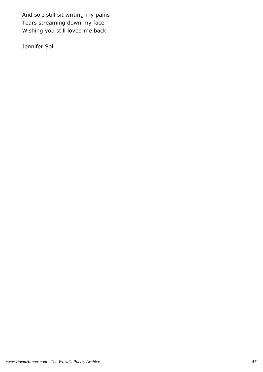And so I still sit writing my pains Tears streaming down my face Wishing you still loved me back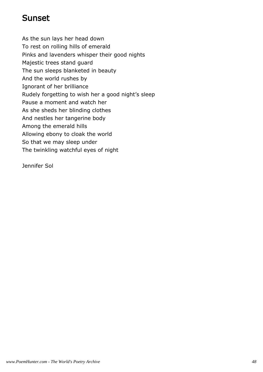# Sunset

As the sun lays her head down To rest on rolling hills of emerald Pinks and lavenders whisper their good nights Majestic trees stand guard The sun sleeps blanketed in beauty And the world rushes by Ignorant of her brilliance Rudely forgetting to wish her a good night's sleep Pause a moment and watch her As she sheds her blinding clothes And nestles her tangerine body Among the emerald hills Allowing ebony to cloak the world So that we may sleep under The twinkling watchful eyes of night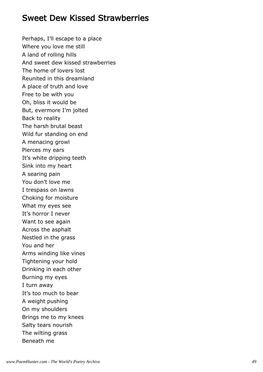#### Sweet Dew Kissed Strawberries

Perhaps, I'll escape to a place Where you love me still A land of rolling hills And sweet dew kissed strawberries The home of lovers lost Reunited in this dreamland A place of truth and love Free to be with you Oh, bliss it would be But, evermore I'm jolted Back to reality The harsh brutal beast Wild fur standing on end A menacing growl Pierces my ears It's white dripping teeth Sink into my heart A searing pain You don't love me I trespass on lawns Choking for moisture What my eyes see It's horror I never Want to see again Across the asphalt Nestled in the grass You and her Arms winding like vines Tightening your hold Drinking in each other Burning my eyes I turn away It's too much to bear A weight pushing On my shoulders Brings me to my knees Salty tears nourish The wilting grass Beneath me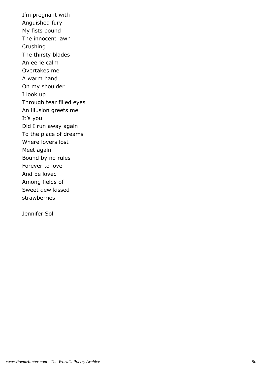I'm pregnant with Anguished fury My fists pound The innocent lawn Crushing The thirsty blades An eerie calm Overtakes me A warm hand On my shoulder I look up Through tear filled eyes An illusion greets me It's you Did I run away again To the place of dreams Where lovers lost Meet again Bound by no rules Forever to love And be loved Among fields of Sweet dew kissed strawberries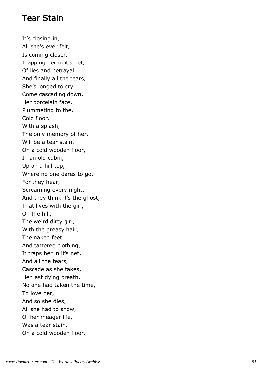#### Tear Stain

It's closing in, All she's ever felt, Is coming closer, Trapping her in it's net, Of lies and betrayal, And finally all the tears, She's longed to cry, Come cascading down, Her porcelain face, Plummeting to the, Cold floor. With a splash, The only memory of her, Will be a tear stain, On a cold wooden floor, In an old cabin, Up on a hill top, Where no one dares to go, For they hear, Screaming every night, And they think it's the ghost, That lives with the girl, On the hill, The weird dirty girl, With the greasy hair, The naked feet, And tattered clothing, It traps her in it's net, And all the tears, Cascade as she takes, Her last dying breath. No one had taken the time, To love her, And so she dies, All she had to show, Of her meager life, Was a tear stain, On a cold wooden floor.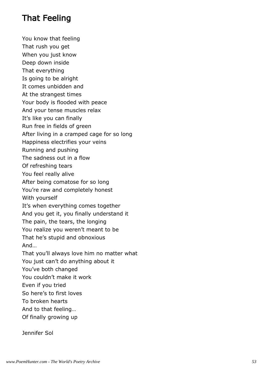# That Feeling

You know that feeling

That rush you get

When you just know

Deep down inside

That everything

Is going to be alright

It comes unbidden and

At the strangest times

Your body is flooded with peace

And your tense muscles relax

It's like you can finally

Run free in fields of green

After living in a cramped cage for so long

Happiness electrifies your veins

Running and pushing

The sadness out in a flow

Of refreshing tears

You feel really alive

After being comatose for so long

You're raw and completely honest

With yourself

It's when everything comes together

And you get it, you finally understand it

The pain, the tears, the longing

You realize you weren't meant to be

That he's stupid and obnoxious

And…

That you'll always love him no matter what

You just can't do anything about it

You've both changed

You couldn't make it work

Even if you tried

So here's to first loves

To broken hearts

And to that feeling…

Of finally growing up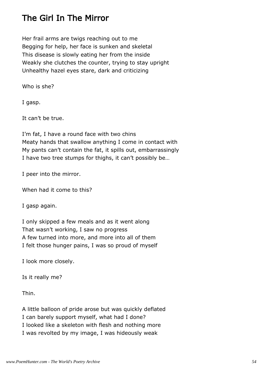# The Girl In The Mirror

Her frail arms are twigs reaching out to me Begging for help, her face is sunken and skeletal This disease is slowly eating her from the inside Weakly she clutches the counter, trying to stay upright Unhealthy hazel eyes stare, dark and criticizing

Who is she?

I gasp.

It can't be true.

I'm fat, I have a round face with two chins Meaty hands that swallow anything I come in contact with My pants can't contain the fat, it spills out, embarrassingly I have two tree stumps for thighs, it can't possibly be…

I peer into the mirror.

When had it come to this?

I gasp again.

I only skipped a few meals and as it went along That wasn't working, I saw no progress A few turned into more, and more into all of them I felt those hunger pains, I was so proud of myself

I look more closely.

Is it really me?

Thin.

A little balloon of pride arose but was quickly deflated I can barely support myself, what had I done? I looked like a skeleton with flesh and nothing more I was revolted by my image, I was hideously weak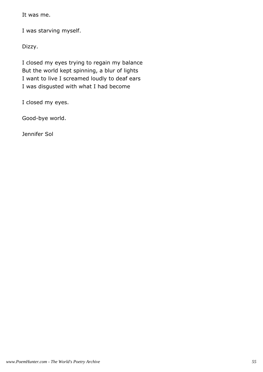It was me.

I was starving myself.

Dizzy.

I closed my eyes trying to regain my balance But the world kept spinning, a blur of lights I want to live I screamed loudly to deaf ears I was disgusted with what I had become

I closed my eyes.

Good-bye world.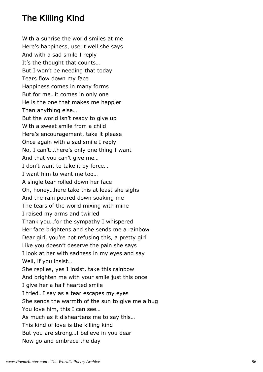# The Killing Kind

With a sunrise the world smiles at me Here's happiness, use it well she says And with a sad smile I reply It's the thought that counts… But I won't be needing that today Tears flow down my face Happiness comes in many forms But for me…it comes in only one He is the one that makes me happier Than anything else… But the world isn't ready to give up With a sweet smile from a child Here's encouragement, take it please Once again with a sad smile I reply No, I can't…there's only one thing I want And that you can't give me… I don't want to take it by force… I want him to want me too… A single tear rolled down her face Oh, honey…here take this at least she sighs And the rain poured down soaking me The tears of the world mixing with mine I raised my arms and twirled Thank you…for the sympathy I whispered Her face brightens and she sends me a rainbow Dear girl, you're not refusing this, a pretty girl Like you doesn't deserve the pain she says I look at her with sadness in my eyes and say Well, if you insist… She replies, yes I insist, take this rainbow And brighten me with your smile just this once I give her a half hearted smile I tried…I say as a tear escapes my eyes She sends the warmth of the sun to give me a hug You love him, this I can see… As much as it disheartens me to say this… This kind of love is the killing kind But you are strong…I believe in you dear Now go and embrace the day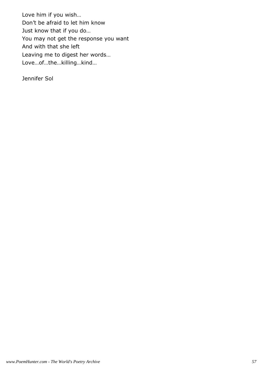Love him if you wish… Don't be afraid to let him know Just know that if you do… You may not get the response you want And with that she left Leaving me to digest her words… Love…of…the…killing…kind…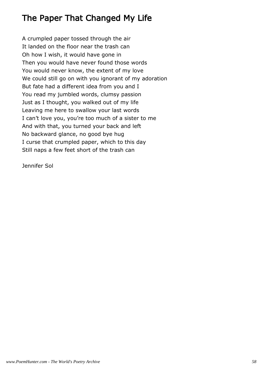# The Paper That Changed My Life

A crumpled paper tossed through the air It landed on the floor near the trash can Oh how I wish, it would have gone in Then you would have never found those words You would never know, the extent of my love We could still go on with you ignorant of my adoration But fate had a different idea from you and I You read my jumbled words, clumsy passion Just as I thought, you walked out of my life Leaving me here to swallow your last words I can't love you, you're too much of a sister to me And with that, you turned your back and left No backward glance, no good bye hug I curse that crumpled paper, which to this day Still naps a few feet short of the trash can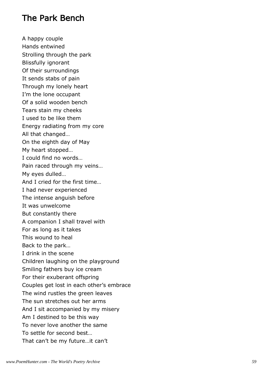# The Park Bench

A happy couple Hands entwined Strolling through the park Blissfully ignorant Of their surroundings It sends stabs of pain Through my lonely heart I'm the lone occupant Of a solid wooden bench Tears stain my cheeks I used to be like them Energy radiating from my core All that changed… On the eighth day of May My heart stopped… I could find no words… Pain raced through my veins… My eyes dulled… And I cried for the first time… I had never experienced The intense anguish before It was unwelcome But constantly there A companion I shall travel with For as long as it takes This wound to heal Back to the park… I drink in the scene Children laughing on the playground Smiling fathers buy ice cream For their exuberant offspring Couples get lost in each other's embrace The wind rustles the green leaves The sun stretches out her arms And I sit accompanied by my misery Am I destined to be this way To never love another the same To settle for second best… That can't be my future…it can't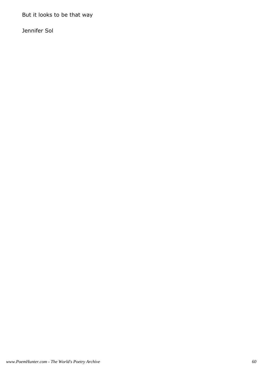But it looks to be that way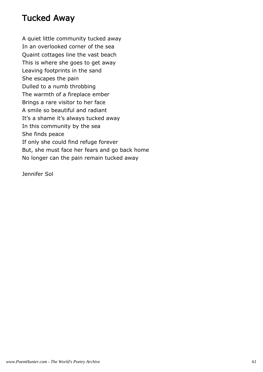# Tucked Away

A quiet little community tucked away In an overlooked corner of the sea Quaint cottages line the vast beach This is where she goes to get away Leaving footprints in the sand She escapes the pain Dulled to a numb throbbing The warmth of a fireplace ember Brings a rare visitor to her face A smile so beautiful and radiant It's a shame it's always tucked away In this community by the sea She finds peace If only she could find refuge forever But, she must face her fears and go back home No longer can the pain remain tucked away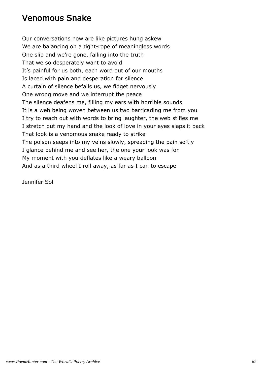# Venomous Snake

Our conversations now are like pictures hung askew We are balancing on a tight-rope of meaningless words One slip and we're gone, falling into the truth That we so desperately want to avoid It's painful for us both, each word out of our mouths Is laced with pain and desperation for silence A curtain of silence befalls us, we fidget nervously One wrong move and we interrupt the peace The silence deafens me, filling my ears with horrible sounds It is a web being woven between us two barricading me from you I try to reach out with words to bring laughter, the web stifles me I stretch out my hand and the look of love in your eyes slaps it back That look is a venomous snake ready to strike The poison seeps into my veins slowly, spreading the pain softly I glance behind me and see her, the one your look was for My moment with you deflates like a weary balloon And as a third wheel I roll away, as far as I can to escape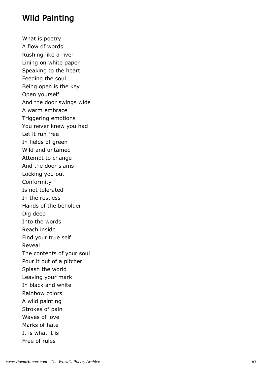# Wild Painting

What is poetry A flow of words Rushing like a river Lining on white paper Speaking to the heart Feeding the soul Being open is the key Open yourself And the door swings wide A warm embrace Triggering emotions You never knew you had Let it run free In fields of green Wild and untamed Attempt to change And the door slams Locking you out Conformity Is not tolerated In the restless Hands of the beholder Dig deep Into the words Reach inside Find your true self Reveal The contents of your soul Pour it out of a pitcher Splash the world Leaving your mark In black and white Rainbow colors A wild painting Strokes of pain Waves of love Marks of hate It is what it is Free of rules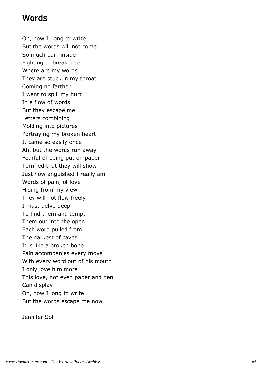# Words

Oh, how I long to write But the words will not come So much pain inside Fighting to break free Where are my words They are stuck in my throat Coming no farther I want to spill my hurt In a flow of words But they escape me Letters combining Molding into pictures Portraying my broken heart It came so easily once Ah, but the words run away Fearful of being put on paper Terrified that they will show Just how anguished I really am Words of pain, of love Hiding from my view They will not flow freely I must delve deep To find them and tempt Them out into the open Each word pulled from The darkest of caves It is like a broken bone Pain accompanies every move With every word out of his mouth I only love him more This love, not even paper and pen Can display Oh, how I long to write But the words escape me now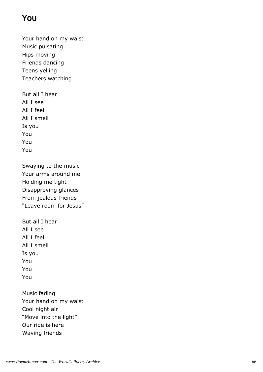# You

Your hand on my waist Music pulsating Hips moving Friends dancing Teens yelling Teachers watching

But all I hear All I see All I feel All I smell Is you You You You

Swaying to the music Your arms around me Holding me tight Disapproving glances From jealous friends "Leave room for Jesus"

But all I hear All I see All I feel All I smell Is you You You You

Music fading Your hand on my waist Cool night air "Move into the light" Our ride is here Waving friends